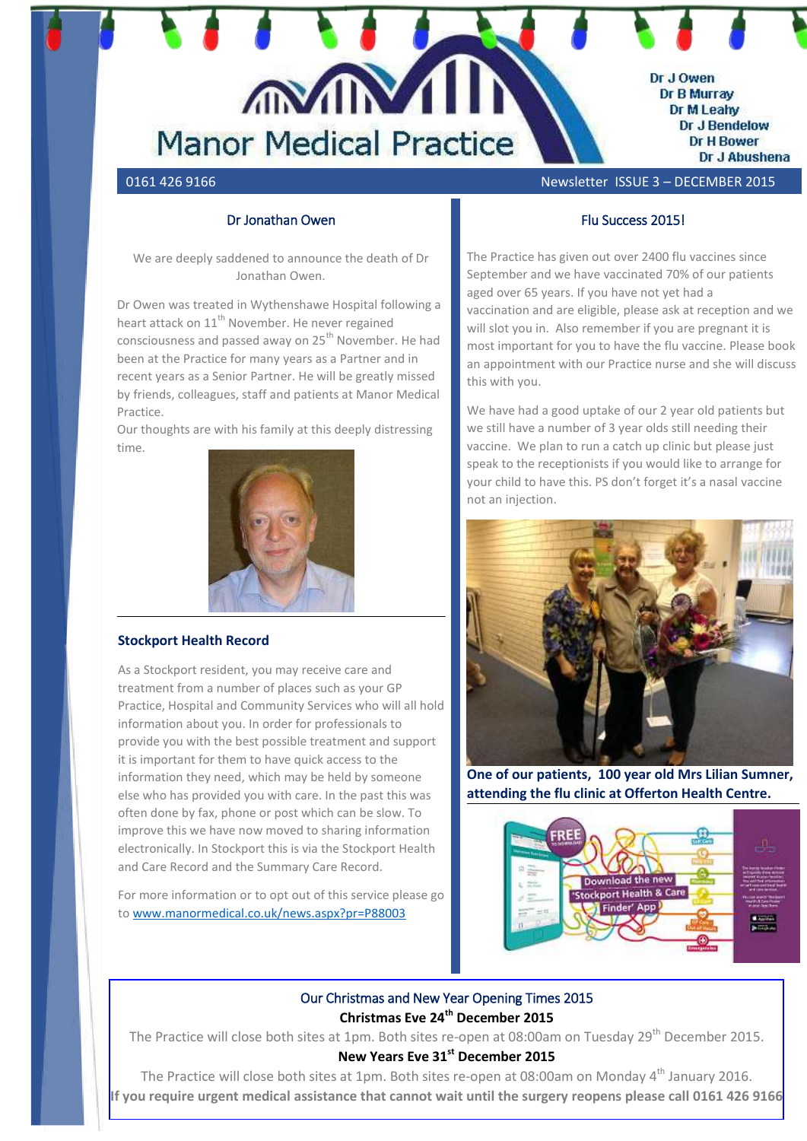

# 0161 426 9166 Newsletter ISSUE 3 – DECEMBER 2015

# Dr Jonathan Owen

We are deeply saddened to announce the death of Dr Jonathan Owen.

Dr Owen was treated in Wythenshawe Hospital following a heart attack on 11<sup>th</sup> November. He never regained consciousness and passed away on 25<sup>th</sup> November. He had been at the Practice for many years as a Partner and in recent years as a Senior Partner. He will be greatly missed by friends, colleagues, staff and patients at Manor Medical Practice.

Our thoughts are with his family at this deeply distressing time.



#### **Stockport Health Record**

As a Stockport resident, you may receive care and treatment from a number of places such as your GP Practice, Hospital and Community Services who will all hold information about you. In order for professionals to provide you with the best possible treatment and support it is important for them to have quick access to the information they need, which may be held by someone else who has provided you with care. In the past this was often done by fax, phone or post which can be slow. To improve this we have now moved to sharing information electronically. In Stockport this is via the Stockport Health and Care Record and the Summary Care Record.

For more information or to opt out of this service please go to <www.manormedical.co.uk/news.aspx?pr=P88003>

### Flu Success 2015!

The Practice has given out over 2400 flu vaccines since September and we have vaccinated 70% of our patients aged over 65 years. If you have not yet had a vaccination and are eligible, please ask at reception and we will slot you in. Also remember if you are pregnant it is most important for you to have the flu vaccine. Please book an appointment with our Practice nurse and she will discuss this with you.

We have had a good uptake of our 2 year old patients but we still have a number of 3 year olds still needing their vaccine. We plan to run a catch up clinic but please just speak to the receptionists if you would like to arrange for your child to have this. PS don't forget it's a nasal vaccine not an injection.



**One of our patients, 100 year old Mrs Lilian Sumner, attending the flu clinic at Offerton Health Centre.**



# Our Christmas and New Year Opening Times 2015 **Christmas Eve 24th December 2015**

The Practice will close both sites at 1pm. Both sites re-open at 08:00am on Tuesday 29<sup>th</sup> December 2015. **New Years Eve 31st December 2015**

The Practice will close both sites at 1pm. Both sites re-open at 08:00am on Monday 4<sup>th</sup> January 2016.